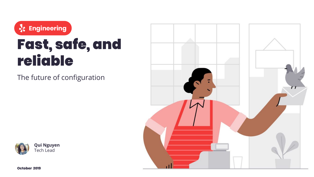**Engineering**

## Fast, safe, and reliable

The future of configuration





**October 2019**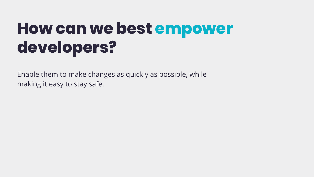## **How can we best empower developers?**

Enable them to make changes as quickly as possible, while making it easy to stay safe.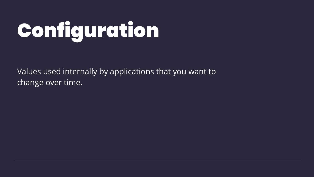# Configuration

Values used internally by applications that you want to change over time.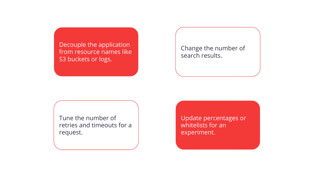Decouple the application from resource names like S3 buckets or logs.

Change the number of search results.

Tune the number of retries and timeouts for a request.

Update percentages or whitelists for an experiment.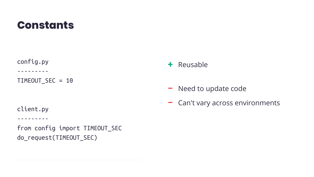#### **Constants**

config.py

---------

TIMEOUT\_SEC = 10

client.py

---------

from config import TIMEOUT\_SEC do\_request(TIMEOUT\_SEC)

- **+** Reusable
- **–** Need to update code
- **–** Can't vary across environments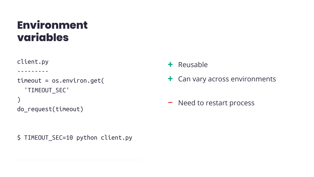#### **Environment variables**

```
client.py
---------
timeout = os.environ.get(
   'TIMEOUT_SEC'
)
do_request(timeout)
```
- **+** Reusable
- **+** Can vary across environments
- **–** Need to restart process

\$ TIMEOUT\_SEC=10 python client.py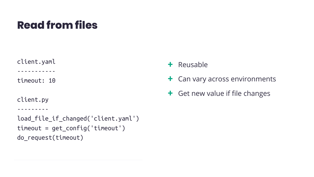#### **Read from files**

client.yaml

-----------

timeout: 10

client.py

```
---------
```

```
load_file_if_changed('client.yaml')
timeout = get_config('timeout')
do_request(timeout)
```
- **+** Reusable
- **+** Can vary across environments
- **+** Get new value if file changes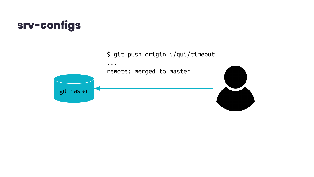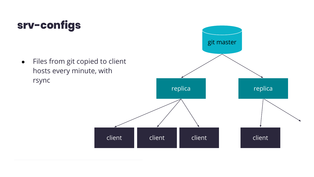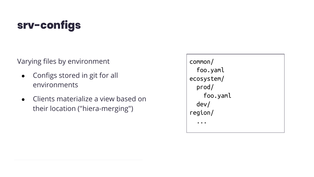Varying files by environment

- Configs stored in git for all environments
- Clients materialize a view based on their location ("hiera-merging")

| Common/    |  |
|------------|--|
| foo.yaml   |  |
| ecosystem/ |  |
| prod/      |  |
| foo.yaml   |  |
| dev/       |  |
| region/    |  |
|            |  |
|            |  |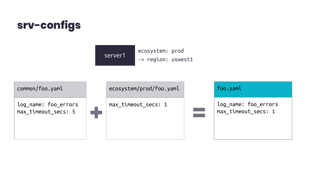



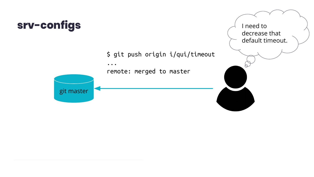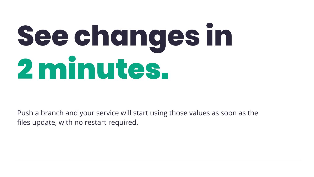# **See changes in**  2 minutes.

Push a branch and your service will start using those values as soon as the files update, with no restart required.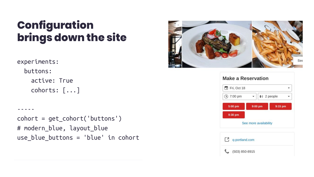#### **Configuration brings down the site**

```
experiments:
   buttons:
     active: True
     cohorts: [...]
```
-----

```
cohort = get_cohort('buttons')
# modern_blue, layout_blue
use_blue_buttons = 'blue' in cohort
```


| $F_i$ Fri, Oct 18 |                       |             |
|-------------------|-----------------------|-------------|
| $\circ$ 7:00 pm   |                       | ++ 2 people |
| 5:00 pm           | 9:00 pm               | $9:15$ pm   |
| 9:30 pm           |                       |             |
|                   |                       |             |
|                   | See more availability |             |
| q-portland.com    |                       |             |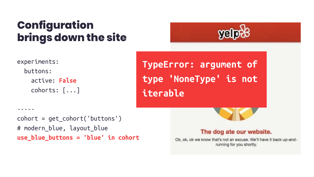#### **Configuration brings down the site**



```
experiments:
   buttons:
     active: False
     cohorts: [...]
```
-----

**TypeError: argument of type 'NoneType' is not iterable**

```
cohort = get_cohort('buttons')
# modern_blue, layout_blue
use_blue_buttons = 'blue' in cohort
```


#### The dog ate our website.

Ok, ok, ok we know that's not an excuse. We'll have it back up-andrunning for you shortly.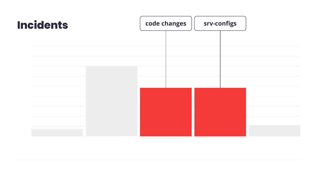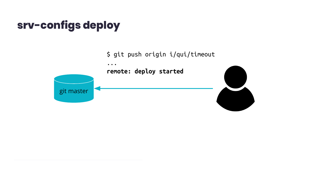#### srv-configs deploy

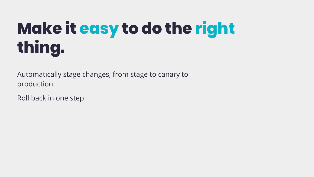## **Make it easy to do the right thing.**

Automatically stage changes, from stage to canary to production.

Roll back in one step.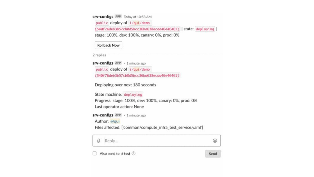| public deploy of i/qui/demo                                   |      |  |  |  |
|---------------------------------------------------------------|------|--|--|--|
| (540f76deb3b57cb0d5bcc36ba638ecaa46e46461)   state: deploying |      |  |  |  |
| stage: 100%, dev: 100%, canary: 0%, prod: 0%                  |      |  |  |  |
| <b>Rollback Now</b>                                           |      |  |  |  |
| 2 replies                                                     |      |  |  |  |
| <b>srv-configs</b> APP < 1 minute ago                         |      |  |  |  |
| public deploy of i/qui/demo                                   |      |  |  |  |
| $(540f76deb3b57cb0d5bcc36ba638ecaa46e46461)$                  |      |  |  |  |
| Deploying over next 180 seconds                               |      |  |  |  |
| State machine: deploying                                      |      |  |  |  |
| Progress: stage: 100%, dev: 100%, canary: 0%, prod: 0%        |      |  |  |  |
| Last operator action: None                                    |      |  |  |  |
| <b>srv-configs</b> APP < 1 minute ago                         |      |  |  |  |
| Author: @qui                                                  |      |  |  |  |
| Files affected: ['common/compute_infra_test_service.yaml']    |      |  |  |  |
| Reply<br>O                                                    | €    |  |  |  |
| Also send to # test 2                                         | Seno |  |  |  |

Send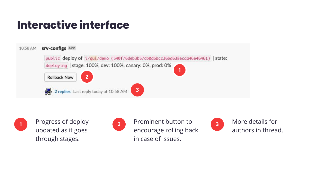#### **Interactive interface**





updated as it goes through stages.



**1** Progress of deploy **1** Prominent button to encourage rolling back in case of issues. **2** Prominent button to **2** More details for



authors in thread.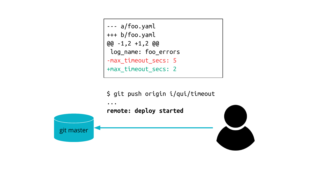

\$ git push origin i/qui/timeout



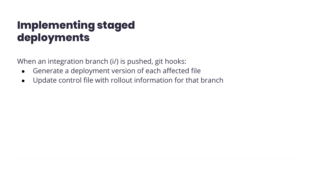#### **Implementing staged deployments**

When an integration branch (i/) is pushed, git hooks:

- Generate a deployment version of each affected file
- Update control file with rollout information for that branch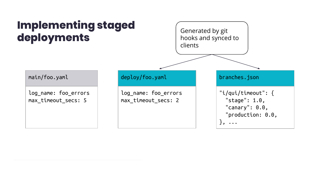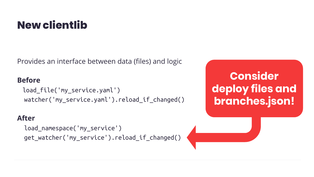#### **New clientlib**

Provides an interface between data (files) and logic

#### **Before**

 load\_file('my\_service.yaml') watcher('my\_service.yaml').reload\_if\_changed()

#### **After**

```
 load_namespace('my_service')
 get_watcher('my_service').reload_if_changed()
```
#### **Consider deploy files and branches.json!**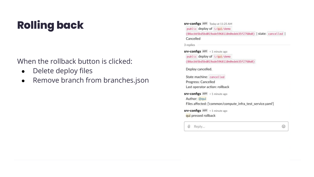### **Rolling back**

When the rollback button is clicked:

- Delete deploy files
- Remove branch from branches.json

| <b>srv-configs</b> APP Today at 11:25 AM                                               |   |
|----------------------------------------------------------------------------------------|---|
| public deploy of i/qui/demo                                                            |   |
| (08acbb5bd5bd019ade5968110e0edeb35f2760a0)   state: cancelled                          |   |
| Cancelled                                                                              |   |
| 3 replies                                                                              |   |
| <b>srv-configs</b> APP < 1 minute ago                                                  |   |
| public deploy of i/qui/demo                                                            |   |
| $(08acbb5bd5bd019ade5968110e0edeb35f2760a0)$                                           |   |
| Deploy cancelled.                                                                      |   |
| State machine: cancelled                                                               |   |
| Progress: Cancelled                                                                    |   |
| Last operator action: rollback                                                         |   |
| $srv$ -configs $APP < 1$ minute ago                                                    |   |
| Author: @qui                                                                           |   |
| Files affected: ['common/compute_infra_test_service.yaml']                             |   |
| <b>srv-configs</b> APP < 1 minute ago                                                  |   |
| qui pressed rollback                                                                   |   |
| $\left(\!\!\left(\!\!\begin{array}{c} 0\\ 0\end{array}\!\!\right)\!\!\right)$<br>Reply | ☺ |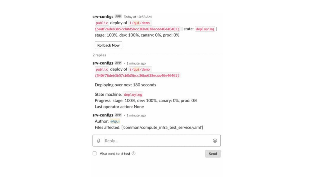| public deploy of i/qui/demo                                   |      |  |  |  |
|---------------------------------------------------------------|------|--|--|--|
| (540f76deb3b57cb0d5bcc36ba638ecaa46e46461)   state: deploying |      |  |  |  |
| stage: 100%, dev: 100%, canary: 0%, prod: 0%                  |      |  |  |  |
| <b>Rollback Now</b>                                           |      |  |  |  |
| 2 replies                                                     |      |  |  |  |
| <b>srv-configs</b> APP < 1 minute ago                         |      |  |  |  |
| public deploy of i/qui/demo                                   |      |  |  |  |
| $(540f76deb3b57cb0d5bcc36ba638ecaa46e46461)$                  |      |  |  |  |
| Deploying over next 180 seconds                               |      |  |  |  |
| State machine: deploying                                      |      |  |  |  |
| Progress: stage: 100%, dev: 100%, canary: 0%, prod: 0%        |      |  |  |  |
| Last operator action: None                                    |      |  |  |  |
| <b>srv-configs</b> APP < 1 minute ago                         |      |  |  |  |
| Author: @qui                                                  |      |  |  |  |
| Files affected: ['common/compute_infra_test_service.yaml']    |      |  |  |  |
| Reply<br>O                                                    | €    |  |  |  |
| Also send to # test 2                                         | Seno |  |  |  |

Send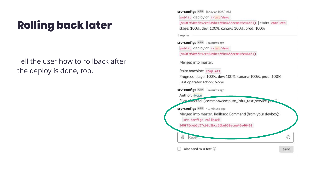### **Rolling back later**

Tell the user how to rollback after the deploy is done, too.

**srv-configs** APP Today at 10:58 AM public deploy of i/qui/demo (540f76deb3b57cb0d5bcc36ba638ecaa46e46461) | state: complete | stage: 100%, dev: 100%, canary: 100%, prod: 100% 3 replies **srv-configs** APP 3 minutes ago public deploy of i/qui/demo (540f76deb3b57cb0d5bcc36ba638ecaa46e46461)

Merged into master.

State machine: complete Progress: stage: 100%, dev: 100%, canary: 100%, prod: 100% Last operator action: None **srv-configs** APP 3 minutes ago Author: @qui Files arrected: ['common/compute\_infra\_test\_service.yam!'] **srv-configs** APP < 1 minute ago Merged into master. Rollback Command (from your devbox): srv-configs rollback 540f76deb3b57cb0d5bcc36ba638ecaa46e46461 O ☺ Reply... Also send to # test  $\circledR$ Send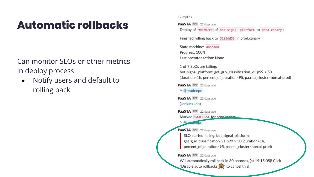#### **Automatic rollbacks**

Can monitor SLOs or other metrics in deploy process

Notify users and default to  $\bullet$ rolling back

12 replies

PaaSTA APP 22 days ago

Deploy of 9ddf07cd of bot\_signal\_platform to prod.canary:

Finished rolling back to 3102dd56 in prod.canary

State machine: abandon Progress: 100% Last operator action: None

1 of 9 SLOs are failing: bot\_signal\_platform: get\_guv\_classification\_v1 p99 > 50 (duration=1h, percent\_of\_duration=95, paasta\_cluster=norcal-prod)

PaaSTA APP 22 days ago

^ @pradeepn

PaaSTA APP 22 days ago (Jenkins Job)

PaaSTA APP 22 days ago Marked 9ddf07cd for prod canary

<sup>^</sup> @pradceph

PaaSTA APP 22 days ago

SLO started failing: bot\_signal\_platform: get\_guv\_classification\_v1 p99 > 50 (duration=1h, percent\_of\_duration=95, paasta\_cluster=norcal-prod)

PaaSTA APP 22 days ago

Will automatically roll back in 30 seconds, (at 19:15:05)! Click "Disable auto rollbacks (A)" to cancel this!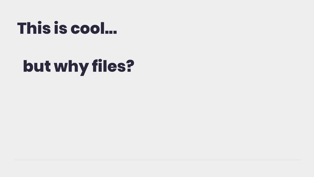## **This is cool...**

## **but why files?**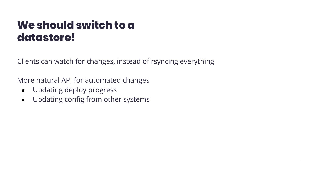#### **We should switch to a datastore!**

Clients can watch for changes, instead of rsyncing everything

More natural API for automated changes

- Updating deploy progress
- Updating config from other systems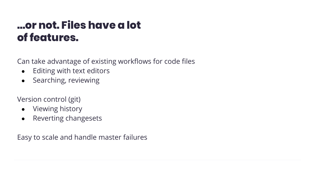#### **…or not. Files have a lot of features.**

Can take advantage of existing workflows for code files

- Editing with text editors
- Searching, reviewing

Version control (git)

- Viewing history
- Reverting changesets

Easy to scale and handle master failures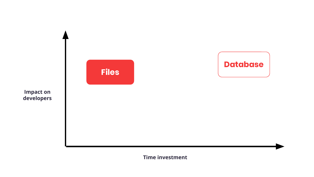

**Time investment**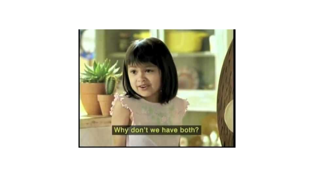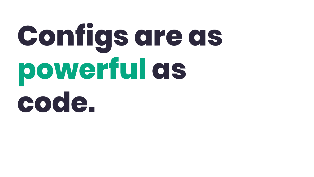# **Configs are as powerful as code.**